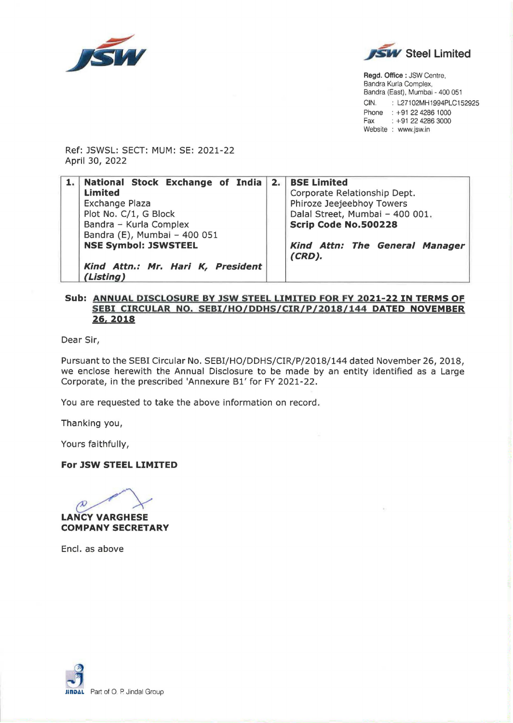



**Regd. Office** : JSW Centre, Bandra Kurla Complex, Bandra (East), Mumbai - 400 051 CIN. : L27102MH1994PLC152925 Phone : +91 22 4286 1000 Fax : +91 22 4286 3000 Website : www.jsw.in

Ref: JSWSL: SECT: MUM: SE: 2021-22 April 30, 2022

| 1. National Stock Exchange of India 2. BSE Limited<br><b>Limited</b><br>Exchange Plaza<br>Plot No. C/1, G Block<br>Bandra - Kurla Complex |  | Corporate Relationship Dept.<br>Phiroze Jeejeebhoy Towers<br>Dalal Street, Mumbai - 400 001.<br>Scrip Code No.500228 |
|-------------------------------------------------------------------------------------------------------------------------------------------|--|----------------------------------------------------------------------------------------------------------------------|
| Bandra (E), Mumbai - 400 051<br><b>NSE Symbol: JSWSTEEL</b><br>Kind Attn.: Mr. Hari K, President<br>(Listing)                             |  | Kind Attn: The General Manager<br>$(CRD)$ .                                                                          |

## **Sub: ANNUAL DISCLOSURE BY JSW STEEL LIMITED FOR FY 2021-22 IN TERMS OF SEBI CIRCULAR NO. SEBI/HO/DDHS/CIR/P/2018/144 DATED NOVEMBER 26.2018**

Dear Sir,

Pursuant to the SEBI Circular No. SEBI/HO/DDHS/CIR/P/2018/144 dated November 26, 2018, we enclose herewith the Annual Disclosure to be made by an entity identified as a Large Corporate, in the prescribed 'Annexure Bl' for FY 2021-22.

You are requested to take the above information on record .

Thanking you,

Yours faithfully,

**For JSW STEEL LIMITED** 



**COMPANY SECRETARY** 

Encl. as above